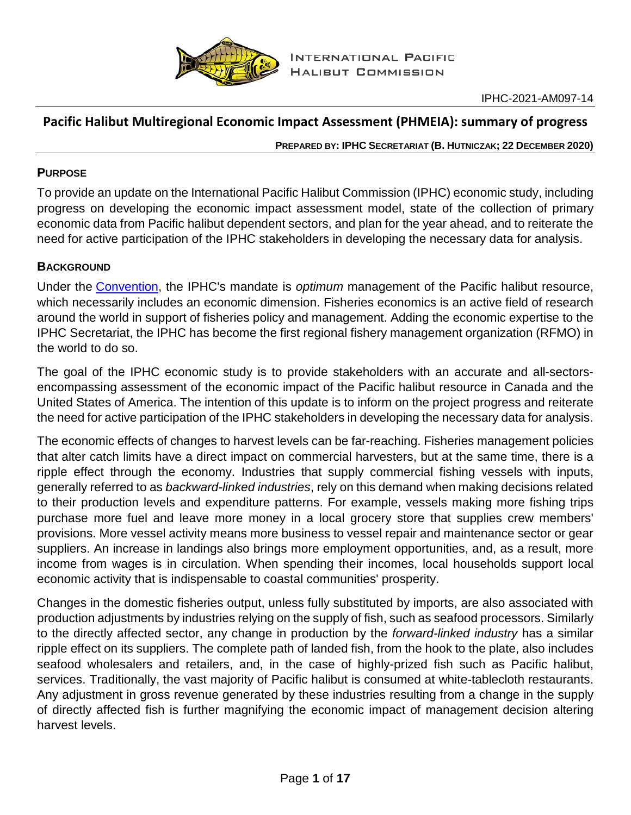

# **Pacific Halibut Multiregional Economic Impact Assessment (PHMEIA): summary of progress**

**PREPARED BY: IPHC SECRETARIAT (B. HUTNICZAK; 22 DECEMBER 2020)**

## **PURPOSE**

To provide an update on the International Pacific Halibut Commission (IPHC) economic study, including progress on developing the economic impact assessment model, state of the collection of primary economic data from Pacific halibut dependent sectors, and plan for the year ahead, and to reiterate the need for active participation of the IPHC stakeholders in developing the necessary data for analysis.

## **BACKGROUND**

Under the [Convention,](https://www.iphc.int/uploads/pdf/basic-texts/iphc-1979-pacific-halibut-convention.pdf) the IPHC's mandate is *optimum* management of the Pacific halibut resource, which necessarily includes an economic dimension. Fisheries economics is an active field of research around the world in support of fisheries policy and management. Adding the economic expertise to the IPHC Secretariat, the IPHC has become the first regional fishery management organization (RFMO) in the world to do so.

The goal of the IPHC economic study is to provide stakeholders with an accurate and all-sectorsencompassing assessment of the economic impact of the Pacific halibut resource in Canada and the United States of America. The intention of this update is to inform on the project progress and reiterate the need for active participation of the IPHC stakeholders in developing the necessary data for analysis.

The economic effects of changes to harvest levels can be far-reaching. Fisheries management policies that alter catch limits have a direct impact on commercial harvesters, but at the same time, there is a ripple effect through the economy. Industries that supply commercial fishing vessels with inputs, generally referred to as *backward-linked industries*, rely on this demand when making decisions related to their production levels and expenditure patterns. For example, vessels making more fishing trips purchase more fuel and leave more money in a local grocery store that supplies crew members' provisions. More vessel activity means more business to vessel repair and maintenance sector or gear suppliers. An increase in landings also brings more employment opportunities, and, as a result, more income from wages is in circulation. When spending their incomes, local households support local economic activity that is indispensable to coastal communities' prosperity.

Changes in the domestic fisheries output, unless fully substituted by imports, are also associated with production adjustments by industries relying on the supply of fish, such as seafood processors. Similarly to the directly affected sector, any change in production by the *forward-linked industry* has a similar ripple effect on its suppliers. The complete path of landed fish, from the hook to the plate, also includes seafood wholesalers and retailers, and, in the case of highly-prized fish such as Pacific halibut, services. Traditionally, the vast majority of Pacific halibut is consumed at white-tablecloth restaurants. Any adjustment in gross revenue generated by these industries resulting from a change in the supply of directly affected fish is further magnifying the economic impact of management decision altering harvest levels.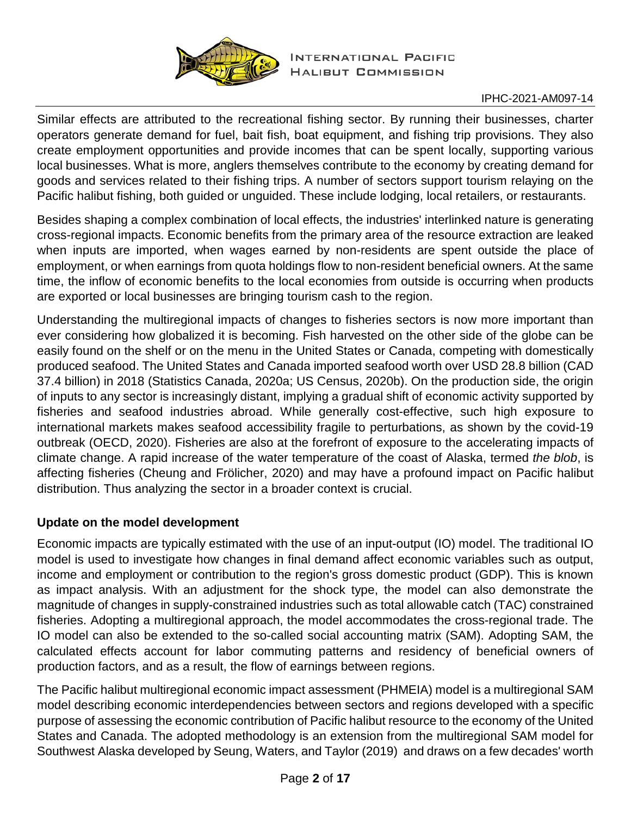

Similar effects are attributed to the recreational fishing sector. By running their businesses, charter operators generate demand for fuel, bait fish, boat equipment, and fishing trip provisions. They also create employment opportunities and provide incomes that can be spent locally, supporting various local businesses. What is more, anglers themselves contribute to the economy by creating demand for goods and services related to their fishing trips. A number of sectors support tourism relaying on the Pacific halibut fishing, both guided or unguided. These include lodging, local retailers, or restaurants.

Besides shaping a complex combination of local effects, the industries' interlinked nature is generating cross-regional impacts. Economic benefits from the primary area of the resource extraction are leaked when inputs are imported, when wages earned by non-residents are spent outside the place of employment, or when earnings from quota holdings flow to non-resident beneficial owners. At the same time, the inflow of economic benefits to the local economies from outside is occurring when products are exported or local businesses are bringing tourism cash to the region.

Understanding the multiregional impacts of changes to fisheries sectors is now more important than ever considering how globalized it is becoming. Fish harvested on the other side of the globe can be easily found on the shelf or on the menu in the United States or Canada, competing with domestically produced seafood. The United States and Canada imported seafood worth over USD 28.8 billion (CAD 37.4 billion) in 2018 (Statistics Canada, 2020a; US Census, 2020b). On the production side, the origin of inputs to any sector is increasingly distant, implying a gradual shift of economic activity supported by fisheries and seafood industries abroad. While generally cost-effective, such high exposure to international markets makes seafood accessibility fragile to perturbations, as shown by the covid-19 outbreak (OECD, 2020). Fisheries are also at the forefront of exposure to the accelerating impacts of climate change. A rapid increase of the water temperature of the coast of Alaska, termed *the blob*, is affecting fisheries (Cheung and Frölicher, 2020) and may have a profound impact on Pacific halibut distribution. Thus analyzing the sector in a broader context is crucial.

## **Update on the model development**

Economic impacts are typically estimated with the use of an input-output (IO) model. The traditional IO model is used to investigate how changes in final demand affect economic variables such as output, income and employment or contribution to the region's gross domestic product (GDP). This is known as impact analysis. With an adjustment for the shock type, the model can also demonstrate the magnitude of changes in supply-constrained industries such as total allowable catch (TAC) constrained fisheries. Adopting a multiregional approach, the model accommodates the cross-regional trade. The IO model can also be extended to the so-called social accounting matrix (SAM). Adopting SAM, the calculated effects account for labor commuting patterns and residency of beneficial owners of production factors, and as a result, the flow of earnings between regions.

The Pacific halibut multiregional economic impact assessment (PHMEIA) model is a multiregional SAM model describing economic interdependencies between sectors and regions developed with a specific purpose of assessing the economic contribution of Pacific halibut resource to the economy of the United States and Canada. The adopted methodology is an extension from the multiregional SAM model for Southwest Alaska developed by Seung, Waters, and Taylor (2019) and draws on a few decades' worth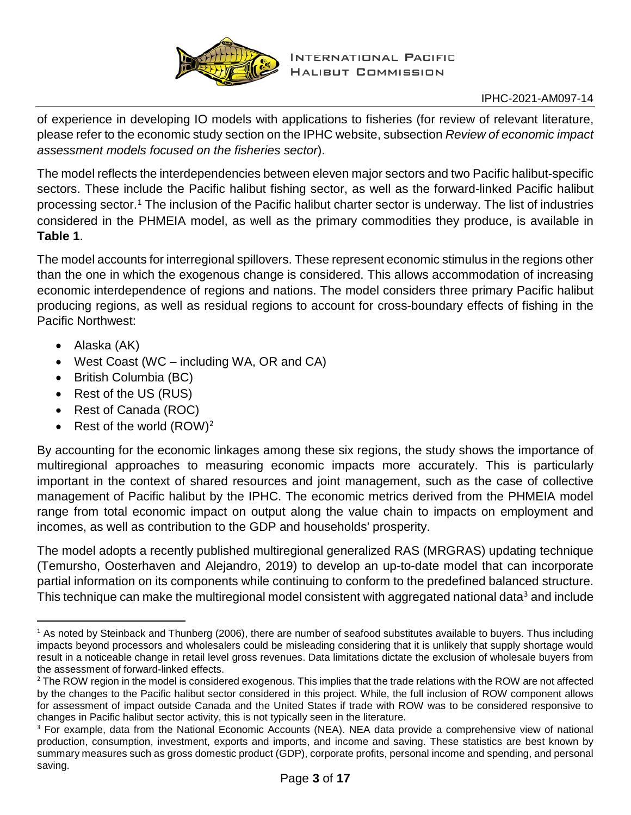

of experience in developing IO models with applications to fisheries (for review of relevant literature, please refer to the economic study section on the IPHC website, subsection *Review of economic impact assessment models focused on the fisheries sector*).

The model reflects the interdependencies between eleven major sectors and two Pacific halibut-specific sectors. These include the Pacific halibut fishing sector, as well as the forward-linked Pacific halibut processing sector.[1](#page-2-0) The inclusion of the Pacific halibut charter sector is underway. The list of industries considered in the PHMEIA model, as well as the primary commodities they produce, is available in **[Table 1](#page-4-0)**.

The model accounts for interregional spillovers. These represent economic stimulus in the regions other than the one in which the exogenous change is considered. This allows accommodation of increasing economic interdependence of regions and nations. The model considers three primary Pacific halibut producing regions, as well as residual regions to account for cross-boundary effects of fishing in the Pacific Northwest:

- Alaska (AK)
- West Coast (WC including WA, OR and CA)
- British Columbia (BC)
- Rest of the US (RUS)
- Rest of Canada (ROC)
- Rest of the world  $(ROW)^2$  $(ROW)^2$

By accounting for the economic linkages among these six regions, the study shows the importance of multiregional approaches to measuring economic impacts more accurately. This is particularly important in the context of shared resources and joint management, such as the case of collective management of Pacific halibut by the IPHC. The economic metrics derived from the PHMEIA model range from total economic impact on output along the value chain to impacts on employment and incomes, as well as contribution to the GDP and households' prosperity.

The model adopts a recently published multiregional generalized RAS (MRGRAS) updating technique (Temursho, Oosterhaven and Alejandro, 2019) to develop an up-to-date model that can incorporate partial information on its components while continuing to conform to the predefined balanced structure. This technique can make the multiregional model consistent with aggregated national data<sup>[3](#page-2-2)</sup> and include

<span id="page-2-0"></span><sup>&</sup>lt;sup>1</sup> As noted by Steinback and Thunberg (2006), there are number of seafood substitutes available to buyers. Thus including impacts beyond processors and wholesalers could be misleading considering that it is unlikely that supply shortage would result in a noticeable change in retail level gross revenues. Data limitations dictate the exclusion of wholesale buyers from the assessment of forward-linked effects.

<span id="page-2-1"></span><sup>&</sup>lt;sup>2</sup> The ROW region in the model is considered exogenous. This implies that the trade relations with the ROW are not affected by the changes to the Pacific halibut sector considered in this project. While, the full inclusion of ROW component allows for assessment of impact outside Canada and the United States if trade with ROW was to be considered responsive to changes in Pacific halibut sector activity, this is not typically seen in the literature.

<span id="page-2-2"></span><sup>&</sup>lt;sup>3</sup> For example, data from the National Economic Accounts (NEA). NEA data provide a comprehensive view of national production, consumption, investment, exports and imports, and income and saving. These statistics are best known by summary measures such as gross domestic product (GDP), corporate profits, personal income and spending, and personal saving.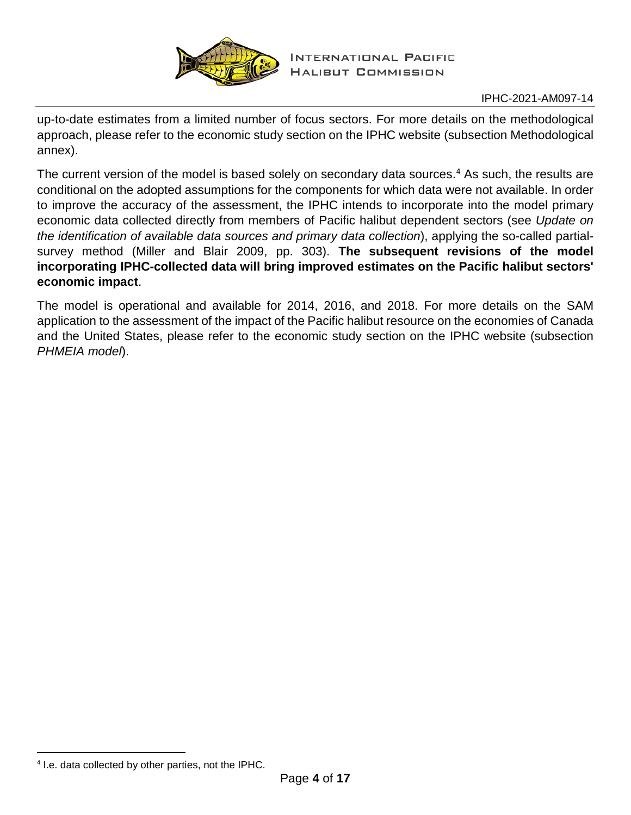

up-to-date estimates from a limited number of focus sectors. For more details on the methodological approach, please refer to the economic study section on the IPHC website (subsection Methodological annex).

The current version of the model is based solely on secondary data sources.<sup>[4](#page-3-0)</sup> As such, the results are conditional on the adopted assumptions for the components for which data were not available. In order to improve the accuracy of the assessment, the IPHC intends to incorporate into the model primary economic data collected directly from members of Pacific halibut dependent sectors (see *[Update on](#page-4-1)  [the identification of available data sources and primary data collection](#page-4-1)*), applying the so-called partialsurvey method (Miller and Blair 2009, pp. 303). **The subsequent revisions of the model incorporating IPHC-collected data will bring improved estimates on the Pacific halibut sectors' economic impact**.

The model is operational and available for 2014, 2016, and 2018. For more details on the SAM application to the assessment of the impact of the Pacific halibut resource on the economies of Canada and the United States, please refer to the economic study section on the IPHC website (subsection *PHMEIA model*).

<span id="page-3-0"></span> <sup>4</sup> I.e. data collected by other parties, not the IPHC.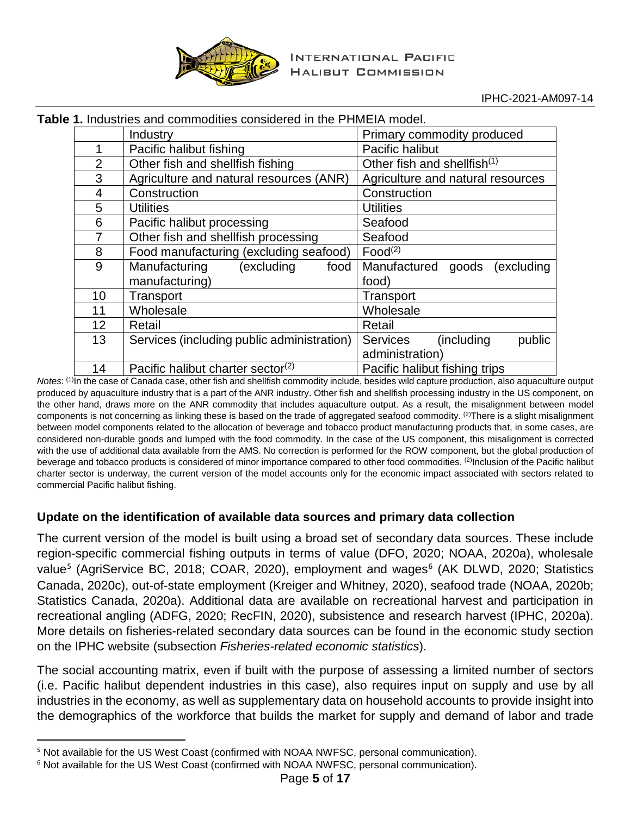

| le 1. Inqustries and commodities considered in the PHIVIETA Model. |                                                     |                                            |                                         |  |  |
|--------------------------------------------------------------------|-----------------------------------------------------|--------------------------------------------|-----------------------------------------|--|--|
|                                                                    |                                                     | Industry                                   | Primary commodity produced              |  |  |
|                                                                    | 1                                                   | Pacific halibut fishing                    | Pacific halibut                         |  |  |
|                                                                    | 2                                                   | Other fish and shellfish fishing           | Other fish and shellfish <sup>(1)</sup> |  |  |
|                                                                    | 3                                                   | Agriculture and natural resources (ANR)    | Agriculture and natural resources       |  |  |
|                                                                    | 4                                                   | Construction                               | Construction                            |  |  |
|                                                                    | 5                                                   | <b>Utilities</b>                           | <b>Utilities</b>                        |  |  |
|                                                                    | 6                                                   | Pacific halibut processing                 | Seafood                                 |  |  |
|                                                                    | 7                                                   | Other fish and shellfish processing        | Seafood                                 |  |  |
|                                                                    | 8                                                   | Food manufacturing (excluding seafood)     | Food <sup>(2)</sup>                     |  |  |
|                                                                    | 9                                                   | (excluding<br>Manufacturing<br>food        | (excluding<br>Manufactured<br>goods     |  |  |
|                                                                    |                                                     | manufacturing)                             | food)                                   |  |  |
|                                                                    | 10                                                  | Transport                                  | Transport                               |  |  |
|                                                                    | 11                                                  | Wholesale                                  | Wholesale                               |  |  |
|                                                                    | 12                                                  | Retail                                     | Retail                                  |  |  |
|                                                                    | 13                                                  | Services (including public administration) | (including<br>public<br><b>Services</b> |  |  |
|                                                                    |                                                     |                                            | administration)                         |  |  |
|                                                                    | 14<br>Pacific halibut charter sector <sup>(2)</sup> |                                            | Pacific halibut fishing trips           |  |  |

<span id="page-4-0"></span>**Table 1.** Industries and commodities considered in the PHMEIA model.

*Notes*: (1)In the case of Canada case, other fish and shellfish commodity include, besides wild capture production, also aquaculture output produced by aquaculture industry that is a part of the ANR industry. Other fish and shellfish processing industry in the US component, on the other hand, draws more on the ANR commodity that includes aquaculture output. As a result, the misalignment between model components is not concerning as linking these is based on the trade of aggregated seafood commodity. <sup>(2)</sup>There is a slight misalignment between model components related to the allocation of beverage and tobacco product manufacturing products that, in some cases, are considered non-durable goods and lumped with the food commodity. In the case of the US component, this misalignment is corrected with the use of additional data available from the AMS. No correction is performed for the ROW component, but the global production of beverage and tobacco products is considered of minor importance compared to other food commodities. (2)Inclusion of the Pacific halibut charter sector is underway, the current version of the model accounts only for the economic impact associated with sectors related to commercial Pacific halibut fishing.

## <span id="page-4-1"></span>**Update on the identification of available data sources and primary data collection**

The current version of the model is built using a broad set of secondary data sources. These include region-specific commercial fishing outputs in terms of value (DFO, 2020; NOAA, 2020a), wholesale value<sup>[5](#page-4-2)</sup> (AgriService BC, 2018; COAR, 2020), employment and wages<sup>[6](#page-4-3)</sup> (AK DLWD, 2020; Statistics Canada, 2020c), out-of-state employment (Kreiger and Whitney, 2020), seafood trade (NOAA, 2020b; Statistics Canada, 2020a). Additional data are available on recreational harvest and participation in recreational angling (ADFG, 2020; RecFIN, 2020), subsistence and research harvest (IPHC, 2020a). More details on fisheries-related secondary data sources can be found in the economic study section on the IPHC website (subsection *Fisheries-related economic statistics*).

The social accounting matrix, even if built with the purpose of assessing a limited number of sectors (i.e. Pacific halibut dependent industries in this case), also requires input on supply and use by all industries in the economy, as well as supplementary data on household accounts to provide insight into the demographics of the workforce that builds the market for supply and demand of labor and trade

<span id="page-4-2"></span><sup>&</sup>lt;sup>5</sup> Not available for the US West Coast (confirmed with NOAA NWFSC, personal communication).

<span id="page-4-3"></span><sup>&</sup>lt;sup>6</sup> Not available for the US West Coast (confirmed with NOAA NWFSC, personal communication).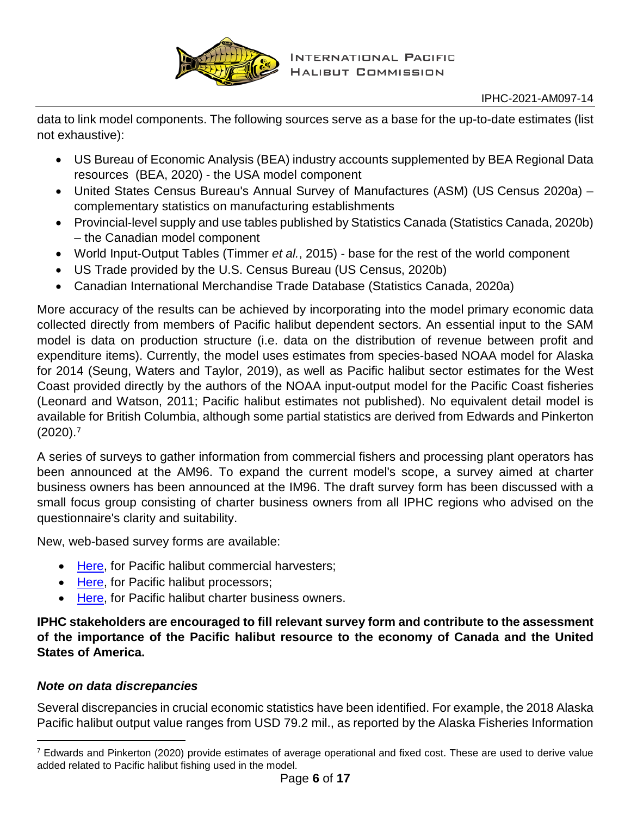

data to link model components. The following sources serve as a base for the up-to-date estimates (list not exhaustive):

- US Bureau of Economic Analysis (BEA) industry accounts supplemented by BEA Regional Data resources (BEA, 2020) - the USA model component
- United States Census Bureau's Annual Survey of Manufactures (ASM) (US Census 2020a) complementary statistics on manufacturing establishments
- Provincial-level supply and use tables published by Statistics Canada (Statistics Canada, 2020b) – the Canadian model component
- World Input-Output Tables (Timmer *et al.*, 2015) base for the rest of the world component
- US Trade provided by the U.S. Census Bureau (US Census, 2020b)
- Canadian International Merchandise Trade Database (Statistics Canada, 2020a)

More accuracy of the results can be achieved by incorporating into the model primary economic data collected directly from members of Pacific halibut dependent sectors. An essential input to the SAM model is data on production structure (i.e. data on the distribution of revenue between profit and expenditure items). Currently, the model uses estimates from species-based NOAA model for Alaska for 2014 (Seung, Waters and Taylor, 2019), as well as Pacific halibut sector estimates for the West Coast provided directly by the authors of the NOAA input-output model for the Pacific Coast fisheries (Leonard and Watson, 2011; Pacific halibut estimates not published). No equivalent detail model is available for British Columbia, although some partial statistics are derived from Edwards and Pinkerton (2020). [7](#page-5-0)

A series of surveys to gather information from commercial fishers and processing plant operators has been announced at the AM96. To expand the current model's scope, a survey aimed at charter business owners has been announced at the IM96. The draft survey form has been discussed with a small focus group consisting of charter business owners from all IPHC regions who advised on the questionnaire's clarity and suitability.

New, web-based survey forms are available:

- [Here,](http://iphcecon.westus2.cloudapp.azure.com:3838/azure_com/) for Pacific halibut commercial harvesters;
- [Here,](http://iphcecon.westus2.cloudapp.azure.com:3838/azure_charter/) for Pacific halibut processors;
- [Here,](http://iphcecon.westus2.cloudapp.azure.com:3838/azure_proc/) for Pacific halibut charter business owners.

**IPHC stakeholders are encouraged to fill relevant survey form and contribute to the assessment of the importance of the Pacific halibut resource to the economy of Canada and the United States of America.**

# *Note on data discrepancies*

Several discrepancies in crucial economic statistics have been identified. For example, the 2018 Alaska Pacific halibut output value ranges from USD 79.2 mil., as reported by the Alaska Fisheries Information

<span id="page-5-0"></span> $7$  Edwards and Pinkerton (2020) provide estimates of average operational and fixed cost. These are used to derive value added related to Pacific halibut fishing used in the model.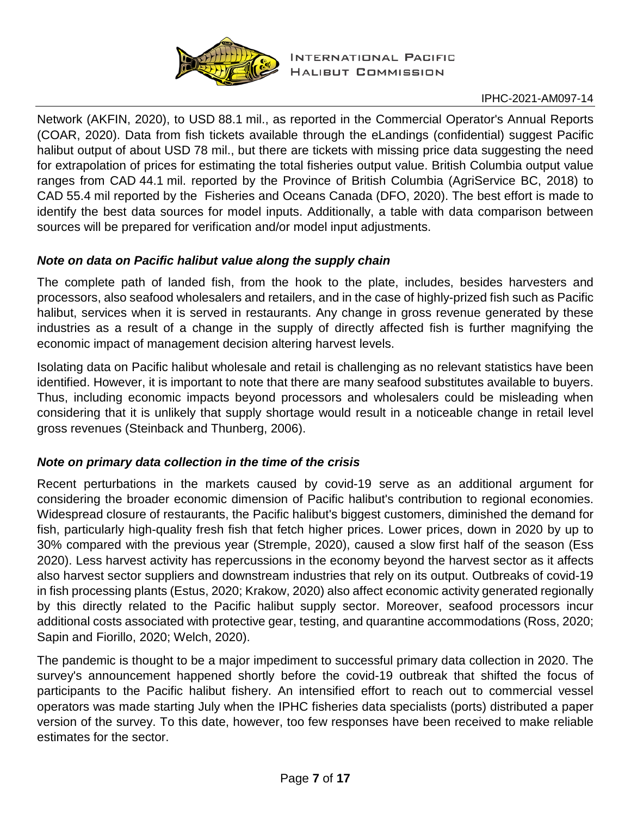

Network (AKFIN, 2020), to USD 88.1 mil., as reported in the Commercial Operator's Annual Reports (COAR, 2020). Data from fish tickets available through the eLandings (confidential) suggest Pacific halibut output of about USD 78 mil., but there are tickets with missing price data suggesting the need for extrapolation of prices for estimating the total fisheries output value. British Columbia output value ranges from CAD 44.1 mil. reported by the Province of British Columbia (AgriService BC, 2018) to CAD 55.4 mil reported by the Fisheries and Oceans Canada (DFO, 2020). The best effort is made to identify the best data sources for model inputs. Additionally, a table with data comparison between sources will be prepared for verification and/or model input adjustments.

## *Note on data on Pacific halibut value along the supply chain*

The complete path of landed fish, from the hook to the plate, includes, besides harvesters and processors, also seafood wholesalers and retailers, and in the case of highly-prized fish such as Pacific halibut, services when it is served in restaurants. Any change in gross revenue generated by these industries as a result of a change in the supply of directly affected fish is further magnifying the economic impact of management decision altering harvest levels.

Isolating data on Pacific halibut wholesale and retail is challenging as no relevant statistics have been identified. However, it is important to note that there are many seafood substitutes available to buyers. Thus, including economic impacts beyond processors and wholesalers could be misleading when considering that it is unlikely that supply shortage would result in a noticeable change in retail level gross revenues (Steinback and Thunberg, 2006).

## *Note on primary data collection in the time of the crisis*

Recent perturbations in the markets caused by covid-19 serve as an additional argument for considering the broader economic dimension of Pacific halibut's contribution to regional economies. Widespread closure of restaurants, the Pacific halibut's biggest customers, diminished the demand for fish, particularly high-quality fresh fish that fetch higher prices. Lower prices, down in 2020 by up to 30% compared with the previous year (Stremple, 2020), caused a slow first half of the season (Ess 2020). Less harvest activity has repercussions in the economy beyond the harvest sector as it affects also harvest sector suppliers and downstream industries that rely on its output. Outbreaks of covid-19 in fish processing plants (Estus, 2020; Krakow, 2020) also affect economic activity generated regionally by this directly related to the Pacific halibut supply sector. Moreover, seafood processors incur additional costs associated with protective gear, testing, and quarantine accommodations (Ross, 2020; Sapin and Fiorillo, 2020; Welch, 2020).

The pandemic is thought to be a major impediment to successful primary data collection in 2020. The survey's announcement happened shortly before the covid-19 outbreak that shifted the focus of participants to the Pacific halibut fishery. An intensified effort to reach out to commercial vessel operators was made starting July when the IPHC fisheries data specialists (ports) distributed a paper version of the survey. To this date, however, too few responses have been received to make reliable estimates for the sector.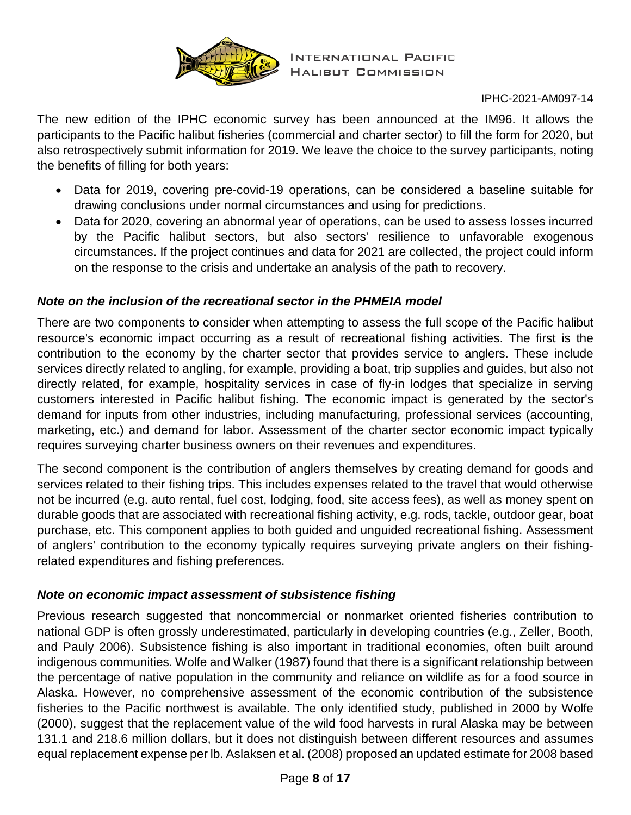

The new edition of the IPHC economic survey has been announced at the IM96. It allows the participants to the Pacific halibut fisheries (commercial and charter sector) to fill the form for 2020, but also retrospectively submit information for 2019. We leave the choice to the survey participants, noting the benefits of filling for both years:

- Data for 2019, covering pre-covid-19 operations, can be considered a baseline suitable for drawing conclusions under normal circumstances and using for predictions.
- Data for 2020, covering an abnormal year of operations, can be used to assess losses incurred by the Pacific halibut sectors, but also sectors' resilience to unfavorable exogenous circumstances. If the project continues and data for 2021 are collected, the project could inform on the response to the crisis and undertake an analysis of the path to recovery.

## *Note on the inclusion of the recreational sector in the PHMEIA model*

There are two components to consider when attempting to assess the full scope of the Pacific halibut resource's economic impact occurring as a result of recreational fishing activities. The first is the contribution to the economy by the charter sector that provides service to anglers. These include services directly related to angling, for example, providing a boat, trip supplies and guides, but also not directly related, for example, hospitality services in case of fly-in lodges that specialize in serving customers interested in Pacific halibut fishing. The economic impact is generated by the sector's demand for inputs from other industries, including manufacturing, professional services (accounting, marketing, etc.) and demand for labor. Assessment of the charter sector economic impact typically requires surveying charter business owners on their revenues and expenditures.

The second component is the contribution of anglers themselves by creating demand for goods and services related to their fishing trips. This includes expenses related to the travel that would otherwise not be incurred (e.g. auto rental, fuel cost, lodging, food, site access fees), as well as money spent on durable goods that are associated with recreational fishing activity, e.g. rods, tackle, outdoor gear, boat purchase, etc. This component applies to both guided and unguided recreational fishing. Assessment of anglers' contribution to the economy typically requires surveying private anglers on their fishingrelated expenditures and fishing preferences.

#### *Note on economic impact assessment of subsistence fishing*

Previous research suggested that noncommercial or nonmarket oriented fisheries contribution to national GDP is often grossly underestimated, particularly in developing countries (e.g., Zeller, Booth, and Pauly 2006). Subsistence fishing is also important in traditional economies, often built around indigenous communities. Wolfe and Walker (1987) found that there is a significant relationship between the percentage of native population in the community and reliance on wildlife as for a food source in Alaska. However, no comprehensive assessment of the economic contribution of the subsistence fisheries to the Pacific northwest is available. The only identified study, published in 2000 by Wolfe (2000), suggest that the replacement value of the wild food harvests in rural Alaska may be between 131.1 and 218.6 million dollars, but it does not distinguish between different resources and assumes equal replacement expense per lb. Aslaksen et al. (2008) proposed an updated estimate for 2008 based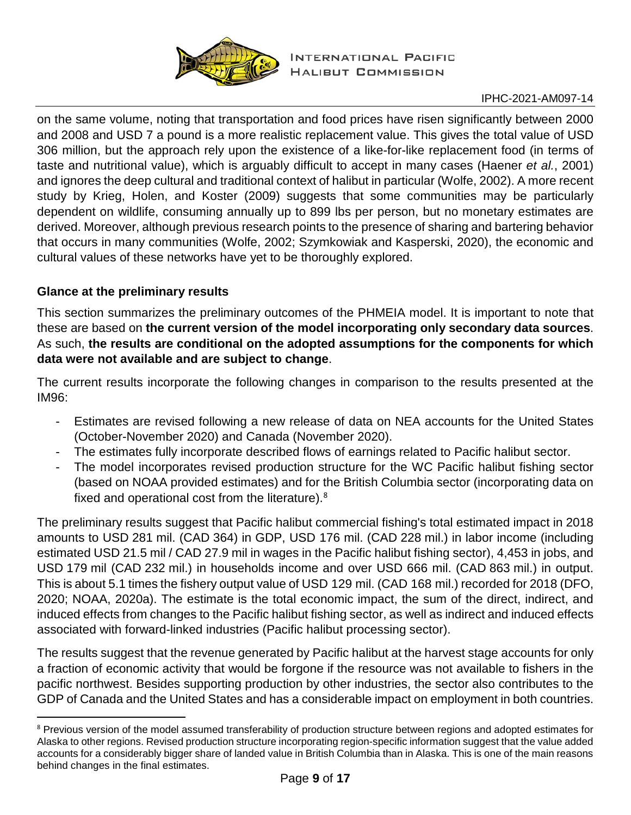

on the same volume, noting that transportation and food prices have risen significantly between 2000 and 2008 and USD 7 a pound is a more realistic replacement value. This gives the total value of USD 306 million, but the approach rely upon the existence of a like-for-like replacement food (in terms of taste and nutritional value), which is arguably difficult to accept in many cases (Haener *et al.*, 2001) and ignores the deep cultural and traditional context of halibut in particular (Wolfe, 2002). A more recent study by Krieg, Holen, and Koster (2009) suggests that some communities may be particularly dependent on wildlife, consuming annually up to 899 lbs per person, but no monetary estimates are derived. Moreover, although previous research points to the presence of sharing and bartering behavior that occurs in many communities (Wolfe, 2002; Szymkowiak and Kasperski, 2020), the economic and cultural values of these networks have yet to be thoroughly explored.

## **Glance at the preliminary results**

This section summarizes the preliminary outcomes of the PHMEIA model. It is important to note that these are based on **the current version of the model incorporating only secondary data sources**. As such, **the results are conditional on the adopted assumptions for the components for which data were not available and are subject to change**.

The current results incorporate the following changes in comparison to the results presented at the IM96:

- Estimates are revised following a new release of data on NEA accounts for the United States (October-November 2020) and Canada (November 2020).
- The estimates fully incorporate described flows of earnings related to Pacific halibut sector.
- The model incorporates revised production structure for the WC Pacific halibut fishing sector (based on NOAA provided estimates) and for the British Columbia sector (incorporating data on fixed and operational cost from the literature).<sup>[8](#page-8-0)</sup>

The preliminary results suggest that Pacific halibut commercial fishing's total estimated impact in 2018 amounts to USD 281 mil. (CAD 364) in GDP, USD 176 mil. (CAD 228 mil.) in labor income (including estimated USD 21.5 mil / CAD 27.9 mil in wages in the Pacific halibut fishing sector), 4,453 in jobs, and USD 179 mil (CAD 232 mil.) in households income and over USD 666 mil. (CAD 863 mil.) in output. This is about 5.1 times the fishery output value of USD 129 mil. (CAD 168 mil.) recorded for 2018 (DFO, 2020; NOAA, 2020a). The estimate is the total economic impact, the sum of the direct, indirect, and induced effects from changes to the Pacific halibut fishing sector, as well as indirect and induced effects associated with forward-linked industries (Pacific halibut processing sector).

The results suggest that the revenue generated by Pacific halibut at the harvest stage accounts for only a fraction of economic activity that would be forgone if the resource was not available to fishers in the pacific northwest. Besides supporting production by other industries, the sector also contributes to the GDP of Canada and the United States and has a considerable impact on employment in both countries.

<span id="page-8-0"></span><sup>&</sup>lt;sup>8</sup> Previous version of the model assumed transferability of production structure between regions and adopted estimates for Alaska to other regions. Revised production structure incorporating region-specific information suggest that the value added accounts for a considerably bigger share of landed value in British Columbia than in Alaska. This is one of the main reasons behind changes in the final estimates.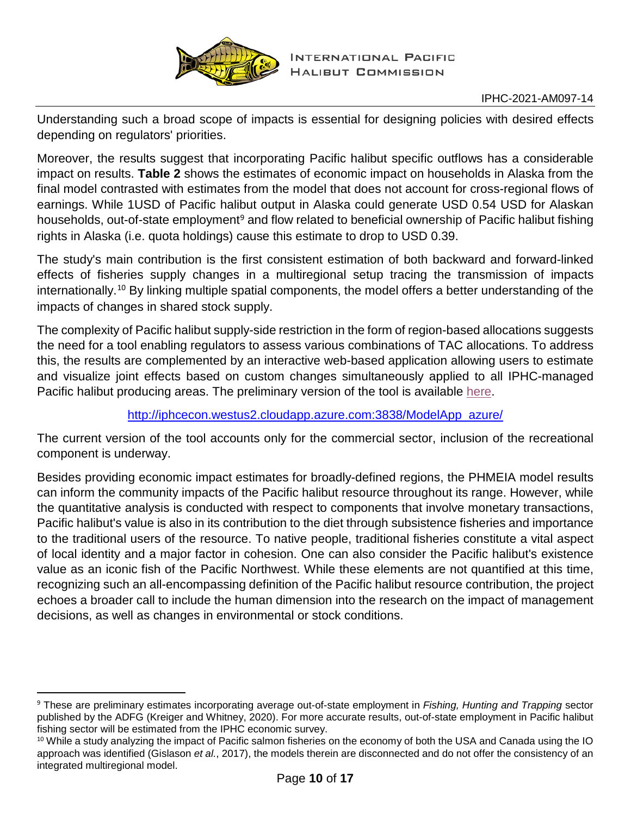

Understanding such a broad scope of impacts is essential for designing policies with desired effects depending on regulators' priorities.

Moreover, the results suggest that incorporating Pacific halibut specific outflows has a considerable impact on results. **[Table 2](#page-10-0)** shows the estimates of economic impact on households in Alaska from the final model contrasted with estimates from the model that does not account for cross-regional flows of earnings. While 1USD of Pacific halibut output in Alaska could generate USD 0.54 USD for Alaskan households, out-of-state employment<sup>[9](#page-9-0)</sup> and flow related to beneficial ownership of Pacific halibut fishing rights in Alaska (i.e. quota holdings) cause this estimate to drop to USD 0.39.

The study's main contribution is the first consistent estimation of both backward and forward-linked effects of fisheries supply changes in a multiregional setup tracing the transmission of impacts internationally.[10](#page-9-1) By linking multiple spatial components, the model offers a better understanding of the impacts of changes in shared stock supply.

The complexity of Pacific halibut supply-side restriction in the form of region-based allocations suggests the need for a tool enabling regulators to assess various combinations of TAC allocations. To address this, the results are complemented by an interactive web-based application allowing users to estimate and visualize joint effects based on custom changes simultaneously applied to all IPHC-managed Pacific halibut producing areas. The preliminary version of the tool is available [here.](http://iphcecon.westus2.cloudapp.azure.com:3838/ModelApp_azure/)

# [http://iphcecon.westus2.cloudapp.azure.com:3838/ModelApp\\_azure/](http://iphcecon.westus2.cloudapp.azure.com:3838/ModelApp_azure/)

The current version of the tool accounts only for the commercial sector, inclusion of the recreational component is underway.

Besides providing economic impact estimates for broadly-defined regions, the PHMEIA model results can inform the community impacts of the Pacific halibut resource throughout its range. However, while the quantitative analysis is conducted with respect to components that involve monetary transactions, Pacific halibut's value is also in its contribution to the diet through subsistence fisheries and importance to the traditional users of the resource. To native people, traditional fisheries constitute a vital aspect of local identity and a major factor in cohesion. One can also consider the Pacific halibut's existence value as an iconic fish of the Pacific Northwest. While these elements are not quantified at this time, recognizing such an all-encompassing definition of the Pacific halibut resource contribution, the project echoes a broader call to include the human dimension into the research on the impact of management decisions, as well as changes in environmental or stock conditions.

<span id="page-9-0"></span> <sup>9</sup> These are preliminary estimates incorporating average out-of-state employment in *Fishing, Hunting and Trapping* sector published by the ADFG (Kreiger and Whitney, 2020). For more accurate results, out-of-state employment in Pacific halibut fishing sector will be estimated from the IPHC economic survey.

<span id="page-9-1"></span><sup>&</sup>lt;sup>10</sup> While a study analyzing the impact of Pacific salmon fisheries on the economy of both the USA and Canada using the IO approach was identified (Gislason *et al.*, 2017), the models therein are disconnected and do not offer the consistency of an integrated multiregional model.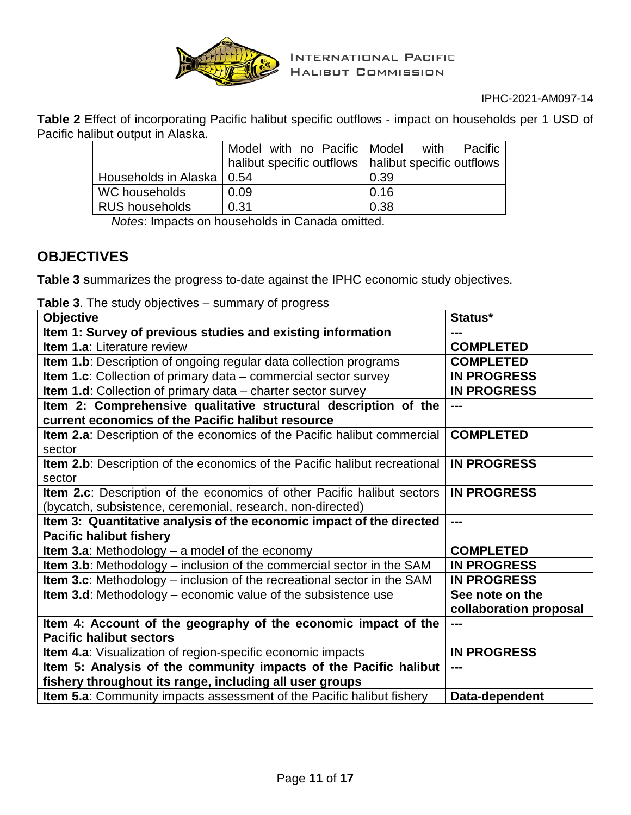

<span id="page-10-0"></span>**Table 2** Effect of incorporating Pacific halibut specific outflows - impact on households per 1 USD of Pacific halibut output in Alaska.

|                             | Model with no Pacific   Model                         | Pacific<br>with |
|-----------------------------|-------------------------------------------------------|-----------------|
|                             | halibut specific outflows   halibut specific outflows |                 |
| Households in Alaska   0.54 |                                                       | 0.39            |
| WC households               | 0.09                                                  | 0.16            |
| <b>RUS households</b>       | 0.31                                                  | 0.38            |

*Notes*: Impacts on households in Canada omitted.

# **OBJECTIVES**

**[Table](#page-10-1) 3 s**ummarizes the progress to-date against the IPHC economic study objectives.

<span id="page-10-1"></span>

|  | Table 3. The study objectives - summary of progress |  |
|--|-----------------------------------------------------|--|
|--|-----------------------------------------------------|--|

| <b>Objective</b>                                                                             | Status*                |
|----------------------------------------------------------------------------------------------|------------------------|
| Item 1: Survey of previous studies and existing information                                  |                        |
| <b>Item 1.a: Literature review</b>                                                           | <b>COMPLETED</b>       |
| <b>Item 1.b</b> : Description of ongoing regular data collection programs                    | <b>COMPLETED</b>       |
| Item 1.c: Collection of primary data - commercial sector survey                              | <b>IN PROGRESS</b>     |
| Item 1.d: Collection of primary data - charter sector survey                                 | <b>IN PROGRESS</b>     |
| Item 2: Comprehensive qualitative structural description of the                              | $- - -$                |
| current economics of the Pacific halibut resource                                            |                        |
| Item 2.a: Description of the economics of the Pacific halibut commercial                     | <b>COMPLETED</b>       |
| sector                                                                                       |                        |
| <b>Item 2.b</b> : Description of the economics of the Pacific halibut recreational<br>sector | <b>IN PROGRESS</b>     |
| Item 2.c: Description of the economics of other Pacific halibut sectors                      | <b>IN PROGRESS</b>     |
| (bycatch, subsistence, ceremonial, research, non-directed)                                   |                        |
| Item 3: Quantitative analysis of the economic impact of the directed                         | $---$                  |
| <b>Pacific halibut fishery</b>                                                               |                        |
| Item 3.a: Methodology $-$ a model of the economy                                             | <b>COMPLETED</b>       |
| <b>Item 3.b:</b> Methodology – inclusion of the commercial sector in the SAM                 | <b>IN PROGRESS</b>     |
| <b>Item 3.c</b> : Methodology – inclusion of the recreational sector in the SAM              | <b>IN PROGRESS</b>     |
| Item 3.d: Methodology - economic value of the subsistence use                                | See note on the        |
|                                                                                              | collaboration proposal |
| Item 4: Account of the geography of the economic impact of the                               | $---$                  |
| <b>Pacific halibut sectors</b>                                                               |                        |
| Item 4.a: Visualization of region-specific economic impacts                                  | <b>IN PROGRESS</b>     |
| Item 5: Analysis of the community impacts of the Pacific halibut                             | ---                    |
| fishery throughout its range, including all user groups                                      |                        |
| Item 5.a: Community impacts assessment of the Pacific halibut fishery                        | Data-dependent         |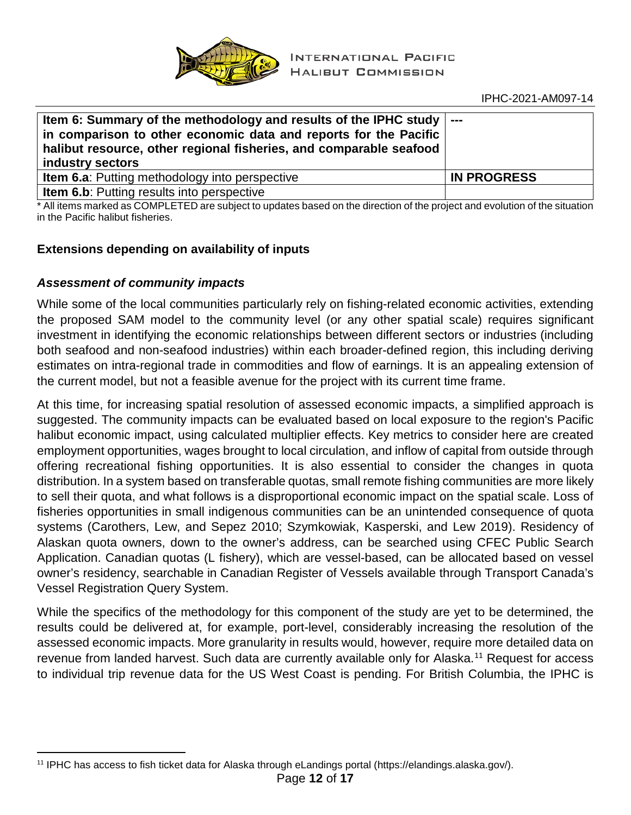

| Item 6: Summary of the methodology and results of the IPHC study $\vert$ ---<br>in comparison to other economic data and reports for the Pacific<br>halibut resource, other regional fisheries, and comparable seafood<br>industry sectors |                    |
|--------------------------------------------------------------------------------------------------------------------------------------------------------------------------------------------------------------------------------------------|--------------------|
| <b>Item 6.a:</b> Putting methodology into perspective                                                                                                                                                                                      | <b>IN PROGRESS</b> |
| Item 6.b: Putting results into perspective                                                                                                                                                                                                 |                    |

\* All items marked as COMPLETED are subject to updates based on the direction of the project and evolution of the situation in the Pacific halibut fisheries.

## **Extensions depending on availability of inputs**

## *Assessment of community impacts*

While some of the local communities particularly rely on fishing-related economic activities, extending the proposed SAM model to the community level (or any other spatial scale) requires significant investment in identifying the economic relationships between different sectors or industries (including both seafood and non-seafood industries) within each broader-defined region, this including deriving estimates on intra-regional trade in commodities and flow of earnings. It is an appealing extension of the current model, but not a feasible avenue for the project with its current time frame.

At this time, for increasing spatial resolution of assessed economic impacts, a simplified approach is suggested. The community impacts can be evaluated based on local exposure to the region's Pacific halibut economic impact, using calculated multiplier effects. Key metrics to consider here are created employment opportunities, wages brought to local circulation, and inflow of capital from outside through offering recreational fishing opportunities. It is also essential to consider the changes in quota distribution. In a system based on transferable quotas, small remote fishing communities are more likely to sell their quota, and what follows is a disproportional economic impact on the spatial scale. Loss of fisheries opportunities in small indigenous communities can be an unintended consequence of quota systems (Carothers, Lew, and Sepez 2010; Szymkowiak, Kasperski, and Lew 2019). Residency of Alaskan quota owners, down to the owner's address, can be searched using CFEC Public Search Application. Canadian quotas (L fishery), which are vessel-based, can be allocated based on vessel owner's residency, searchable in Canadian Register of Vessels available through Transport Canada's Vessel Registration Query System.

While the specifics of the methodology for this component of the study are yet to be determined, the results could be delivered at, for example, port-level, considerably increasing the resolution of the assessed economic impacts. More granularity in results would, however, require more detailed data on revenue from landed harvest. Such data are currently available only for Alaska.<sup>[11](#page-11-0)</sup> Request for access to individual trip revenue data for the US West Coast is pending. For British Columbia, the IPHC is

<span id="page-11-0"></span> <sup>11</sup> IPHC has access to fish ticket data for Alaska through eLandings portal (https://elandings.alaska.gov/).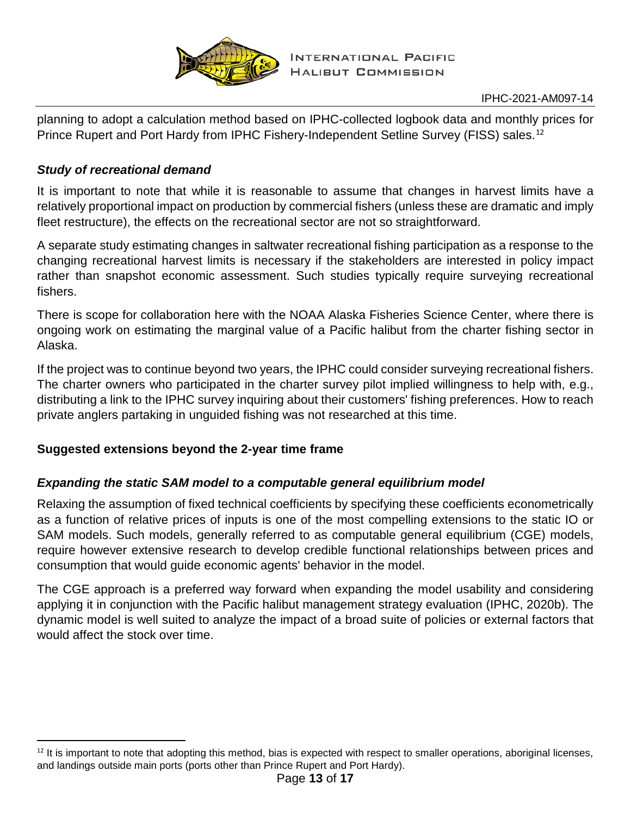

planning to adopt a calculation method based on IPHC-collected logbook data and monthly prices for Prince Rupert and Port Hardy from IPHC Fishery-Independent Setline Survey (FISS) sales.<sup>[12](#page-12-0)</sup>

## *Study of recreational demand*

It is important to note that while it is reasonable to assume that changes in harvest limits have a relatively proportional impact on production by commercial fishers (unless these are dramatic and imply fleet restructure), the effects on the recreational sector are not so straightforward.

A separate study estimating changes in saltwater recreational fishing participation as a response to the changing recreational harvest limits is necessary if the stakeholders are interested in policy impact rather than snapshot economic assessment. Such studies typically require surveying recreational fishers.

There is scope for collaboration here with the NOAA Alaska Fisheries Science Center, where there is ongoing work on estimating the marginal value of a Pacific halibut from the charter fishing sector in Alaska.

If the project was to continue beyond two years, the IPHC could consider surveying recreational fishers. The charter owners who participated in the charter survey pilot implied willingness to help with, e.g., distributing a link to the IPHC survey inquiring about their customers' fishing preferences. How to reach private anglers partaking in unguided fishing was not researched at this time.

# **Suggested extensions beyond the 2-year time frame**

# *Expanding the static SAM model to a computable general equilibrium model*

Relaxing the assumption of fixed technical coefficients by specifying these coefficients econometrically as a function of relative prices of inputs is one of the most compelling extensions to the static IO or SAM models. Such models, generally referred to as computable general equilibrium (CGE) models, require however extensive research to develop credible functional relationships between prices and consumption that would guide economic agents' behavior in the model.

The CGE approach is a preferred way forward when expanding the model usability and considering applying it in conjunction with the Pacific halibut management strategy evaluation (IPHC, 2020b). The dynamic model is well suited to analyze the impact of a broad suite of policies or external factors that would affect the stock over time.

<span id="page-12-0"></span> $12$  It is important to note that adopting this method, bias is expected with respect to smaller operations, aboriginal licenses, and landings outside main ports (ports other than Prince Rupert and Port Hardy).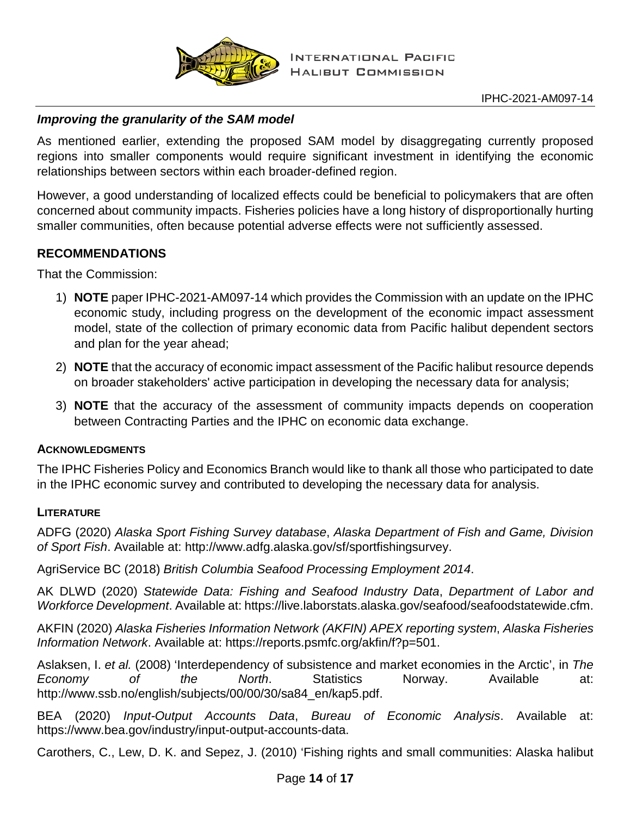

# *Improving the granularity of the SAM model*

As mentioned earlier, extending the proposed SAM model by disaggregating currently proposed regions into smaller components would require significant investment in identifying the economic relationships between sectors within each broader-defined region.

However, a good understanding of localized effects could be beneficial to policymakers that are often concerned about community impacts. Fisheries policies have a long history of disproportionally hurting smaller communities, often because potential adverse effects were not sufficiently assessed.

## **RECOMMENDATIONS**

That the Commission:

- 1) **NOTE** paper IPHC-2021-AM097-14 which provides the Commission with an update on the IPHC economic study, including progress on the development of the economic impact assessment model, state of the collection of primary economic data from Pacific halibut dependent sectors and plan for the year ahead;
- 2) **NOTE** that the accuracy of economic impact assessment of the Pacific halibut resource depends on broader stakeholders' active participation in developing the necessary data for analysis;
- 3) **NOTE** that the accuracy of the assessment of community impacts depends on cooperation between Contracting Parties and the IPHC on economic data exchange.

## **ACKNOWLEDGMENTS**

The IPHC Fisheries Policy and Economics Branch would like to thank all those who participated to date in the IPHC economic survey and contributed to developing the necessary data for analysis.

## **LITERATURE**

ADFG (2020) *Alaska Sport Fishing Survey database*, *Alaska Department of Fish and Game, Division of Sport Fish*. Available at: http://www.adfg.alaska.gov/sf/sportfishingsurvey.

AgriService BC (2018) *British Columbia Seafood Processing Employment 2014*.

AK DLWD (2020) *Statewide Data: Fishing and Seafood Industry Data*, *Department of Labor and Workforce Development*. Available at: https://live.laborstats.alaska.gov/seafood/seafoodstatewide.cfm.

AKFIN (2020) *Alaska Fisheries Information Network (AKFIN) APEX reporting system*, *Alaska Fisheries Information Network*. Available at: https://reports.psmfc.org/akfin/f?p=501.

Aslaksen, I. *et al.* (2008) 'Interdependency of subsistence and market economies in the Arctic', in *The Economy of the North*. Statistics Norway. Available at: http://www.ssb.no/english/subjects/00/00/30/sa84\_en/kap5.pdf.

BEA (2020) *Input-Output Accounts Data*, *Bureau of Economic Analysis*. Available at: https://www.bea.gov/industry/input-output-accounts-data.

Carothers, C., Lew, D. K. and Sepez, J. (2010) 'Fishing rights and small communities: Alaska halibut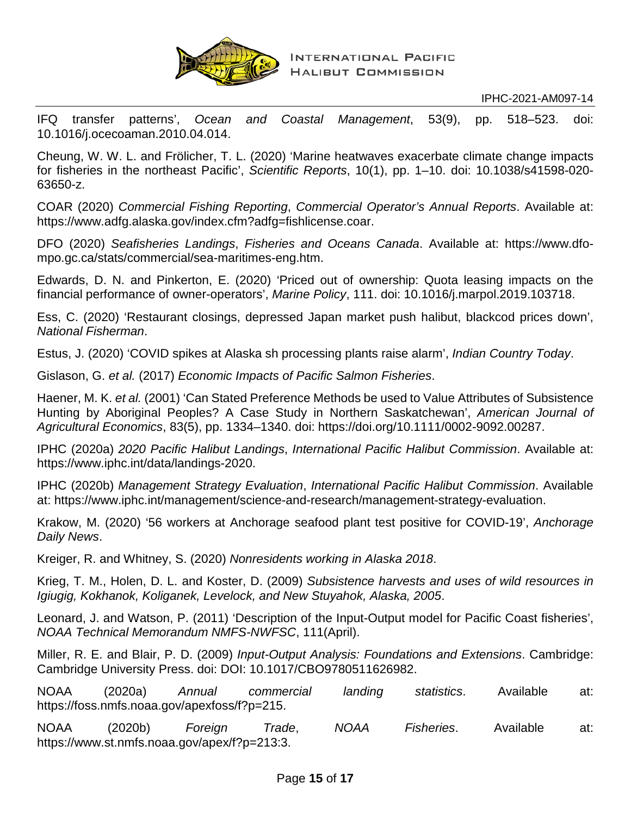

IFQ transfer patterns', *Ocean and Coastal Management*, 53(9), pp. 518–523. doi: 10.1016/j.ocecoaman.2010.04.014.

Cheung, W. W. L. and Frölicher, T. L. (2020) 'Marine heatwaves exacerbate climate change impacts for fisheries in the northeast Pacific', *Scientific Reports*, 10(1), pp. 1–10. doi: 10.1038/s41598-020- 63650-z.

COAR (2020) *Commercial Fishing Reporting*, *Commercial Operator's Annual Reports*. Available at: https://www.adfg.alaska.gov/index.cfm?adfg=fishlicense.coar.

DFO (2020) *Seafisheries Landings*, *Fisheries and Oceans Canada*. Available at: https://www.dfompo.gc.ca/stats/commercial/sea-maritimes-eng.htm.

Edwards, D. N. and Pinkerton, E. (2020) 'Priced out of ownership: Quota leasing impacts on the financial performance of owner-operators', *Marine Policy*, 111. doi: 10.1016/j.marpol.2019.103718.

Ess, C. (2020) 'Restaurant closings, depressed Japan market push halibut, blackcod prices down', *National Fisherman*.

Estus, J. (2020) 'COVID spikes at Alaska sh processing plants raise alarm', *Indian Country Today*.

Gislason, G. *et al.* (2017) *Economic Impacts of Pacific Salmon Fisheries*.

Haener, M. K. *et al.* (2001) 'Can Stated Preference Methods be used to Value Attributes of Subsistence Hunting by Aboriginal Peoples? A Case Study in Northern Saskatchewan', *American Journal of Agricultural Economics*, 83(5), pp. 1334–1340. doi: https://doi.org/10.1111/0002-9092.00287.

IPHC (2020a) *2020 Pacific Halibut Landings*, *International Pacific Halibut Commission*. Available at: https://www.iphc.int/data/landings-2020.

IPHC (2020b) *Management Strategy Evaluation*, *International Pacific Halibut Commission*. Available at: https://www.iphc.int/management/science-and-research/management-strategy-evaluation.

Krakow, M. (2020) '56 workers at Anchorage seafood plant test positive for COVID-19', *Anchorage Daily News*.

Kreiger, R. and Whitney, S. (2020) *Nonresidents working in Alaska 2018*.

Krieg, T. M., Holen, D. L. and Koster, D. (2009) *Subsistence harvests and uses of wild resources in Igiugig, Kokhanok, Koliganek, Levelock, and New Stuyahok, Alaska, 2005*.

Leonard, J. and Watson, P. (2011) 'Description of the Input-Output model for Pacific Coast fisheries', *NOAA Technical Memorandum NMFS-NWFSC*, 111(April).

Miller, R. E. and Blair, P. D. (2009) *Input-Output Analysis: Foundations and Extensions*. Cambridge: Cambridge University Press. doi: DOI: 10.1017/CBO9780511626982.

NOAA (2020a) *Annual commercial landing statistics*. Available at: https://foss.nmfs.noaa.gov/apexfoss/f?p=215.

NOAA (2020b) *Foreign Trade*, *NOAA Fisheries*. Available at: https://www.st.nmfs.noaa.gov/apex/f?p=213:3.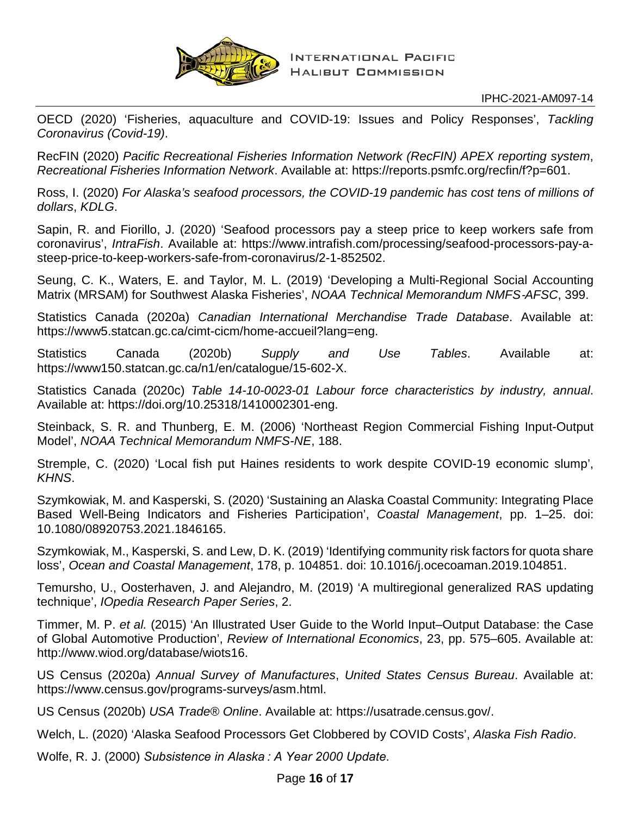

OECD (2020) 'Fisheries, aquaculture and COVID-19: Issues and Policy Responses', *Tackling Coronavirus (Covid-19)*.

RecFIN (2020) *Pacific Recreational Fisheries Information Network (RecFIN) APEX reporting system*, *Recreational Fisheries Information Network*. Available at: https://reports.psmfc.org/recfin/f?p=601.

Ross, I. (2020) *For Alaska's seafood processors, the COVID-19 pandemic has cost tens of millions of dollars*, *KDLG*.

Sapin, R. and Fiorillo, J. (2020) 'Seafood processors pay a steep price to keep workers safe from coronavirus', *IntraFish*. Available at: https://www.intrafish.com/processing/seafood-processors-pay-asteep-price-to-keep-workers-safe-from-coronavirus/2-1-852502.

Seung, C. K., Waters, E. and Taylor, M. L. (2019) 'Developing a Multi-Regional Social Accounting Matrix (MRSAM) for Southwest Alaska Fisheries', *NOAA Technical Memorandum NMFS*‐*AFSC*, 399.

Statistics Canada (2020a) *Canadian International Merchandise Trade Database*. Available at: https://www5.statcan.gc.ca/cimt-cicm/home-accueil?lang=eng.

Statistics Canada (2020b) *Supply and Use Tables*. Available at: https://www150.statcan.gc.ca/n1/en/catalogue/15-602-X.

Statistics Canada (2020c) *Table 14-10-0023-01 Labour force characteristics by industry, annual*. Available at: https://doi.org/10.25318/1410002301-eng.

Steinback, S. R. and Thunberg, E. M. (2006) 'Northeast Region Commercial Fishing Input-Output Model', *NOAA Technical Memorandum NMFS-NE*, 188.

Stremple, C. (2020) 'Local fish put Haines residents to work despite COVID-19 economic slump', *KHNS*.

Szymkowiak, M. and Kasperski, S. (2020) 'Sustaining an Alaska Coastal Community: Integrating Place Based Well-Being Indicators and Fisheries Participation', *Coastal Management*, pp. 1–25. doi: 10.1080/08920753.2021.1846165.

Szymkowiak, M., Kasperski, S. and Lew, D. K. (2019) 'Identifying community risk factors for quota share loss', *Ocean and Coastal Management*, 178, p. 104851. doi: 10.1016/j.ocecoaman.2019.104851.

Temursho, U., Oosterhaven, J. and Alejandro, M. (2019) 'A multiregional generalized RAS updating technique', *IOpedia Research Paper Series*, 2.

Timmer, M. P. *et al.* (2015) 'An Illustrated User Guide to the World Input–Output Database: the Case of Global Automotive Production', *Review of International Economics*, 23, pp. 575–605. Available at: http://www.wiod.org/database/wiots16.

US Census (2020a) *Annual Survey of Manufactures*, *United States Census Bureau*. Available at: https://www.census.gov/programs-surveys/asm.html.

US Census (2020b) *USA Trade® Online*. Available at: https://usatrade.census.gov/.

Welch, L. (2020) 'Alaska Seafood Processors Get Clobbered by COVID Costs', *Alaska Fish Radio*.

Wolfe, R. J. (2000) *Subsistence in Alaska : A Year 2000 Update*.